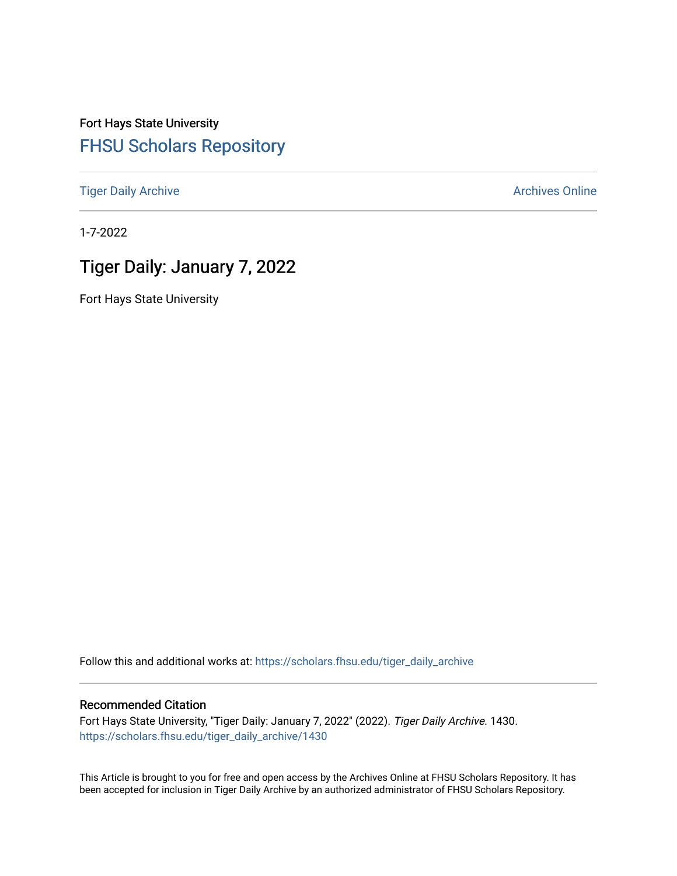Fort Hays State University [FHSU Scholars Repository](https://scholars.fhsu.edu/) 

[Tiger Daily Archive](https://scholars.fhsu.edu/tiger_daily_archive) **Archives** Online Archives Online

1-7-2022

# Tiger Daily: January 7, 2022

Fort Hays State University

Follow this and additional works at: [https://scholars.fhsu.edu/tiger\\_daily\\_archive](https://scholars.fhsu.edu/tiger_daily_archive?utm_source=scholars.fhsu.edu%2Ftiger_daily_archive%2F1430&utm_medium=PDF&utm_campaign=PDFCoverPages)

#### Recommended Citation

Fort Hays State University, "Tiger Daily: January 7, 2022" (2022). Tiger Daily Archive. 1430. [https://scholars.fhsu.edu/tiger\\_daily\\_archive/1430](https://scholars.fhsu.edu/tiger_daily_archive/1430?utm_source=scholars.fhsu.edu%2Ftiger_daily_archive%2F1430&utm_medium=PDF&utm_campaign=PDFCoverPages)

This Article is brought to you for free and open access by the Archives Online at FHSU Scholars Repository. It has been accepted for inclusion in Tiger Daily Archive by an authorized administrator of FHSU Scholars Repository.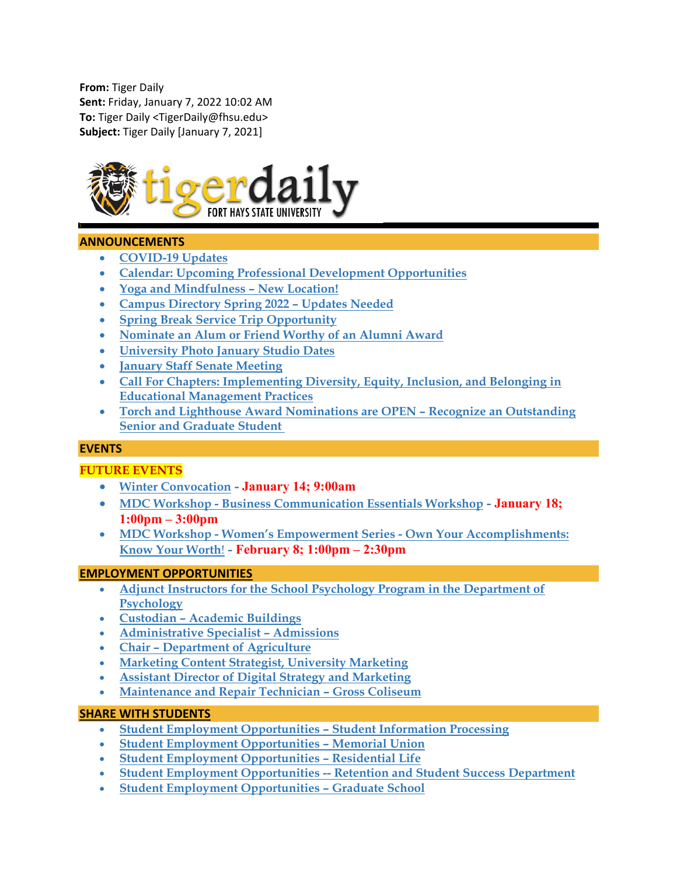**From:** Tiger Daily **Sent:** Friday, January 7, 2022 10:02 AM **To:** Tiger Daily <TigerDaily@fhsu.edu> **Subject:** Tiger Daily [January 7, 2021]



#### **ANNOUNCEMENTS**

- **[COVID-19 Updates](#page-2-0)**
- **[Calendar: Upcoming Professional Development Opportunities](#page-2-1)**
- **[Yoga and Mindfulness –](#page-2-2) New Location!**
- **[Campus Directory Spring 2022 –](#page-2-3) Updates Needed**
- **[Spring Break Service Trip Opportunity](#page-2-4)**
- **[Nominate an Alum or Friend Worthy of an Alumni Award](#page-3-0)**
- **[University Photo January Studio Dates](#page-3-1)**
- **[January Staff Senate Meeting](#page-3-2)**
- **[Call For Chapters: Implementing Diversity, Equity, Inclusion, and Belonging in](#page-3-3)  [Educational Management Practices](#page-3-3)**
- **[Torch and Lighthouse Award Nominations are OPEN –](#page-4-0) Recognize an Outstanding [Senior and Graduate Student](#page-4-0)**

#### **EVENTS**

#### **FUTURE EVENTS**

- **[Winter Convocation](#page-4-1) - January 14; 9:00am**
- **MDC Workshop - [Business Communication Essentials Workshop](#page-4-2) - January 18; 1:00pm – 3:00pm**
- **MDC Workshop - [Women's Empowerment Series -](#page-5-0) Own Your Accomplishments: [Know Your Worth](#page-5-0)**! **- February 8; 1:00pm – 2:30pm**

#### **EMPLOYMENT OPPORTUNITIES**

- **[Adjunct Instructors for the School Psychology Program in the Department of](#page-5-1)  [Psychology](#page-5-1)**
- **Custodian – [Academic Buildings](#page-6-0)**
- **[Administrative Specialist –](#page-6-1) Admissions**
- **Chair – [Department of Agriculture](#page-7-0)**
- **[Marketing Content Strategist, University Marketing](#page-7-1)**
- **[Assistant Director of Digital Strategy and Marketing](#page-7-2)**
- **[Maintenance and Repair Technician –](#page-8-0) Gross Coliseum**

#### **SHARE WITH STUDENTS**

- **[Student Employment Opportunities –](#page-8-1) Student Information Processing**
- **[Student Employment Opportunities –](#page-9-0) Memorial Union**
- **[Student Employment Opportunities –](#page-9-1) Residential Life**
- **Student Employment Opportunities -- [Retention and Student Success Department](#page-9-2)**
- **[Student Employment Opportunities –](#page-9-3) Graduate School**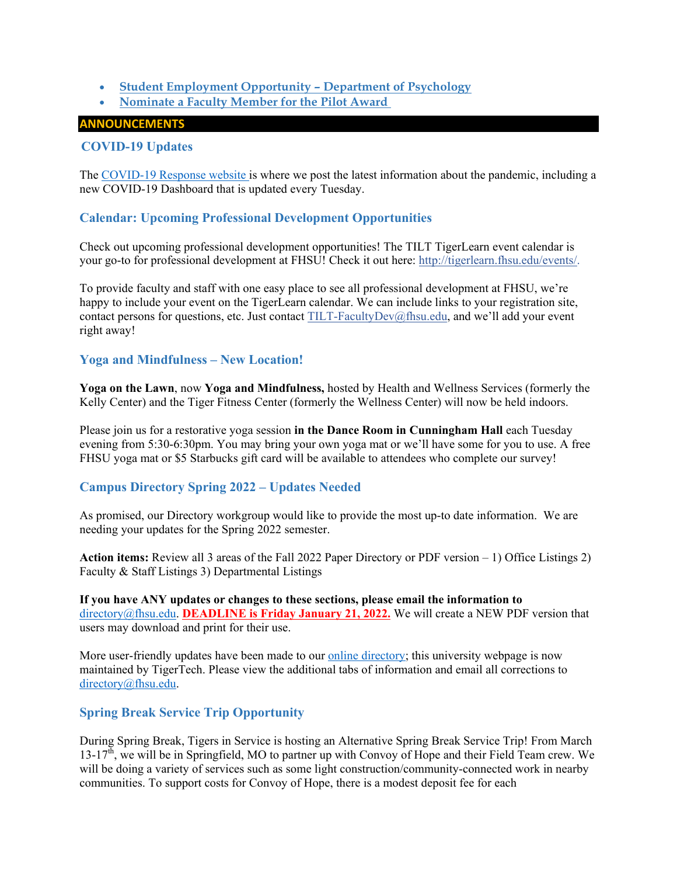#### • **[Student Employment Opportunity –](#page-9-4) Department of Psychology**

<span id="page-2-0"></span>• **[Nominate a Faculty Member for the Pilot Award](#page-10-0)**

#### **ANNOUNCEMENTS**

### **COVID-19 Updates**

The [COVID-19 Response website](https://www.fhsu.edu/covid-19-response/index) is where we post the latest information about the pandemic, including a new COVID-19 Dashboard that is updated every Tuesday.

#### <span id="page-2-1"></span>**Calendar: Upcoming Professional Development Opportunities**

Check out upcoming professional development opportunities! The TILT TigerLearn event calendar is your go-to for professional development at FHSU! Check it out here: [http://tigerlearn.fhsu.edu/events/.](http://tigerlearn.fhsu.edu/events/)

To provide faculty and staff with one easy place to see all professional development at FHSU, we're happy to include your event on the TigerLearn calendar. We can include links to your registration site, contact persons for questions, etc. Just contact [TILT-FacultyDev@fhsu.edu,](mailto:TILT-FacultyDev@fhsu.edu) and we'll add your event right away!

### <span id="page-2-2"></span>**Yoga and Mindfulness – New Location!**

**Yoga on the Lawn**, now **Yoga and Mindfulness,** hosted by Health and Wellness Services (formerly the Kelly Center) and the Tiger Fitness Center (formerly the Wellness Center) will now be held indoors.

Please join us for a restorative yoga session **in the Dance Room in Cunningham Hall** each Tuesday evening from 5:30-6:30pm. You may bring your own yoga mat or we'll have some for you to use. A free FHSU yoga mat or \$5 Starbucks gift card will be available to attendees who complete our survey!

### <span id="page-2-3"></span>**Campus Directory Spring 2022 – Updates Needed**

As promised, our Directory workgroup would like to provide the most up-to date information. We are needing your updates for the Spring 2022 semester.

**Action items:** Review all 3 areas of the Fall 2022 Paper Directory or PDF version – 1) Office Listings 2) Faculty & Staff Listings 3) Departmental Listings

**If you have ANY updates or changes to these sections, please email the information to** [directory@fhsu.edu.](mailto:directory@fhsu.edu) **DEADLINE is Friday January 21, 2022.** We will create a NEW PDF version that users may download and print for their use.

More user-friendly updates have been made to our <u>online directory</u>; this university webpage is now maintained by TigerTech. Please view the additional tabs of information and email all corrections to [directory@fhsu.edu.](mailto:directory@fhsu.edu)

### <span id="page-2-4"></span>**Spring Break Service Trip Opportunity**

During Spring Break, Tigers in Service is hosting an Alternative Spring Break Service Trip! From March  $13-17<sup>th</sup>$ , we will be in Springfield, MO to partner up with Convoy of Hope and their Field Team crew. We will be doing a variety of services such as some light construction/community-connected work in nearby communities. To support costs for Convoy of Hope, there is a modest deposit fee for each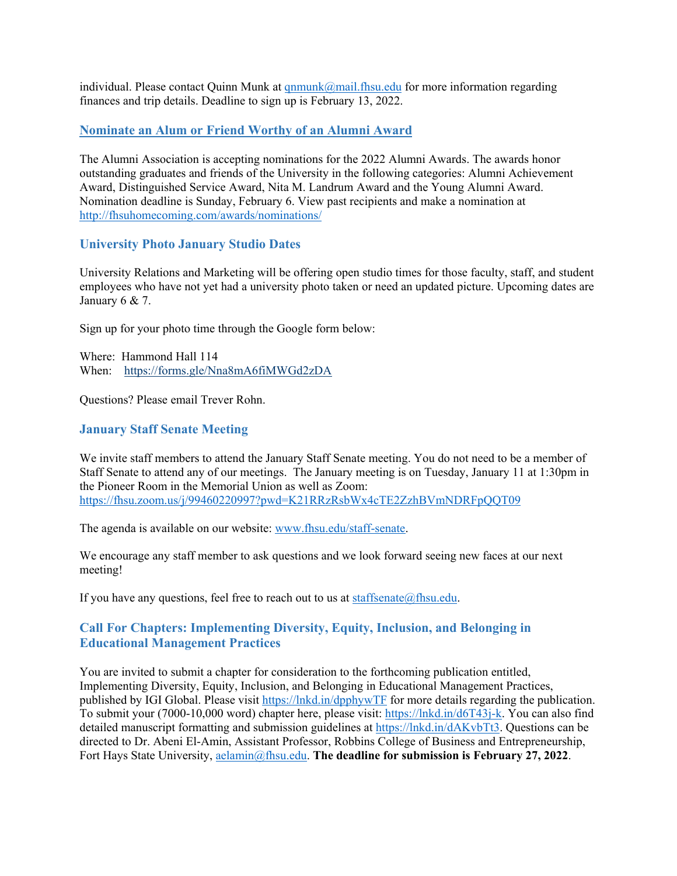individual. Please contact Quinn Munk at  $qnmunk@mail.fhsu.edu$  for more information regarding finances and trip details. Deadline to sign up is February 13, 2022.

### <span id="page-3-0"></span>**Nominate an Alum or Friend Worthy of an Alumni Award**

The Alumni Association is accepting nominations for the 2022 Alumni Awards. The awards honor outstanding graduates and friends of the University in the following categories: Alumni Achievement Award, Distinguished Service Award, Nita M. Landrum Award and the Young Alumni Award. Nomination deadline is Sunday, February 6. View past recipients and make a nomination at <http://fhsuhomecoming.com/awards/nominations/>

### <span id="page-3-1"></span>**University Photo January Studio Dates**

University Relations and Marketing will be offering open studio times for those faculty, staff, and student employees who have not yet had a university photo taken or need an updated picture. Upcoming dates are January 6 & 7.

Sign up for your photo time through the Google form below:

Where: Hammond Hall 114 When: <https://forms.gle/Nna8mA6fiMWGd2zDA>

Questions? Please email Trever Rohn.

### <span id="page-3-2"></span>**January Staff Senate Meeting**

We invite staff members to attend the January Staff Senate meeting. You do not need to be a member of Staff Senate to attend any of our meetings. The January meeting is on Tuesday, January 11 at 1:30pm in the Pioneer Room in the Memorial Union as well as Zoom: <https://fhsu.zoom.us/j/99460220997?pwd=K21RRzRsbWx4cTE2ZzhBVmNDRFpQQT09>

The agenda is available on our website: [www.fhsu.edu/staff-senate.](http://www.fhsu.edu/staff-senate)

We encourage any staff member to ask questions and we look forward seeing new faces at our next meeting!

If you have any questions, feel free to reach out to us at staffsenate $@$ fhsu.edu.

# <span id="page-3-3"></span>**Call For Chapters: Implementing Diversity, Equity, Inclusion, and Belonging in Educational Management Practices**

You are invited to submit a chapter for consideration to the forthcoming publication entitled, Implementing Diversity, Equity, Inclusion, and Belonging in Educational Management Practices, published by IGI Global. Please visit<https://lnkd.in/dpphywTF> for more details regarding the publication. To submit your (7000-10,000 word) chapter here, please visit: [https://lnkd.in/d6T43j-k.](https://lnkd.in/d6T43j-k) You can also find detailed manuscript formatting and submission guidelines at [https://lnkd.in/dAKvbTt3.](https://lnkd.in/dAKvbTt3) Questions can be directed to Dr. Abeni El-Amin, Assistant Professor, Robbins College of Business and Entrepreneurship, Fort Hays State University, [aelamin@fhsu.edu.](mailto:aelamin@fhsu.edu) **The deadline for submission is February 27, 2022**.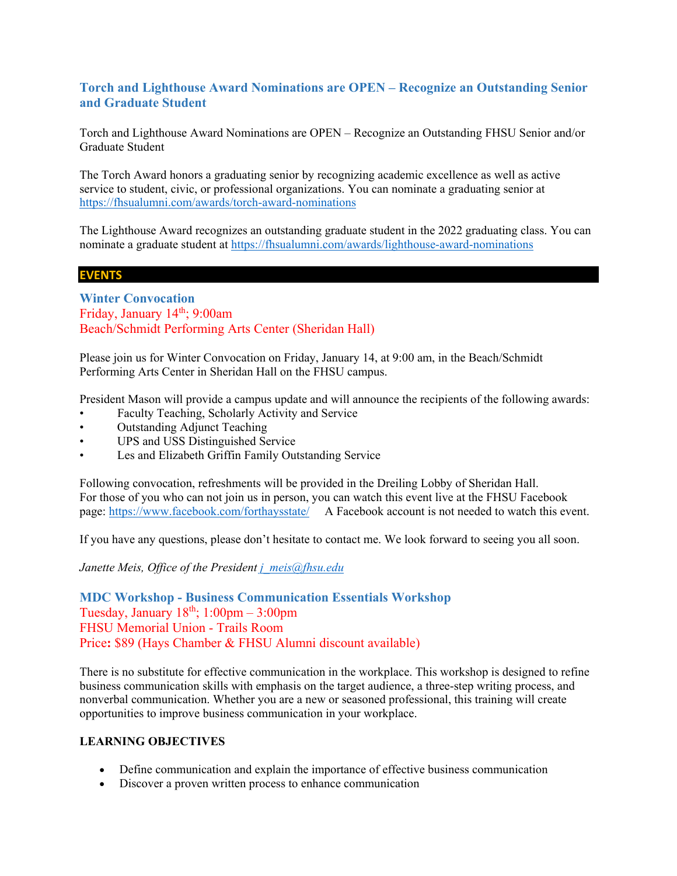# <span id="page-4-0"></span>**Torch and Lighthouse Award Nominations are OPEN – Recognize an Outstanding Senior and Graduate Student**

Torch and Lighthouse Award Nominations are OPEN – Recognize an Outstanding FHSU Senior and/or Graduate Student

The Torch Award honors a graduating senior by recognizing academic excellence as well as active service to student, civic, or professional organizations. You can nominate a graduating senior at <https://fhsualumni.com/awards/torch-award-nominations>

The Lighthouse Award recognizes an outstanding graduate student in the 2022 graduating class. You can nominate a graduate student at<https://fhsualumni.com/awards/lighthouse-award-nominations>

#### **EVENTS**

<span id="page-4-1"></span>**Winter Convocation** Friday, January 14<sup>th</sup>; 9:00am Beach/Schmidt Performing Arts Center (Sheridan Hall)

Please join us for Winter Convocation on Friday, January 14, at 9:00 am, in the Beach/Schmidt Performing Arts Center in Sheridan Hall on the FHSU campus.

President Mason will provide a campus update and will announce the recipients of the following awards:

- Faculty Teaching, Scholarly Activity and Service
- Outstanding Adjunct Teaching
- UPS and USS Distinguished Service
- Les and Elizabeth Griffin Family Outstanding Service

Following convocation, refreshments will be provided in the Dreiling Lobby of Sheridan Hall. For those of you who can not join us in person, you can watch this event live at the FHSU Facebook page:<https://www.facebook.com/forthaysstate/>A Facebook account is not needed to watch this event.

If you have any questions, please don't hesitate to contact me. We look forward to seeing you all soon.

*Janette Meis, Office of the President [j\\_meis@fhsu.edu](mailto:j_meis@fhsu.edu)*

<span id="page-4-2"></span>**MDC Workshop - Business Communication Essentials Workshop**  Tuesday, January  $18<sup>th</sup>$ ;  $1:00<sub>pm</sub> - 3:00<sub>pm</sub>$ FHSU Memorial Union - Trails Room Price**:** \$89 (Hays Chamber & FHSU Alumni discount available)

There is no substitute for effective communication in the workplace. This workshop is designed to refine business communication skills with emphasis on the target audience, a three-step writing process, and nonverbal communication. Whether you are a new or seasoned professional, this training will create opportunities to improve business communication in your workplace.

#### **LEARNING OBJECTIVES**

- Define communication and explain the importance of effective business communication
- Discover a proven written process to enhance communication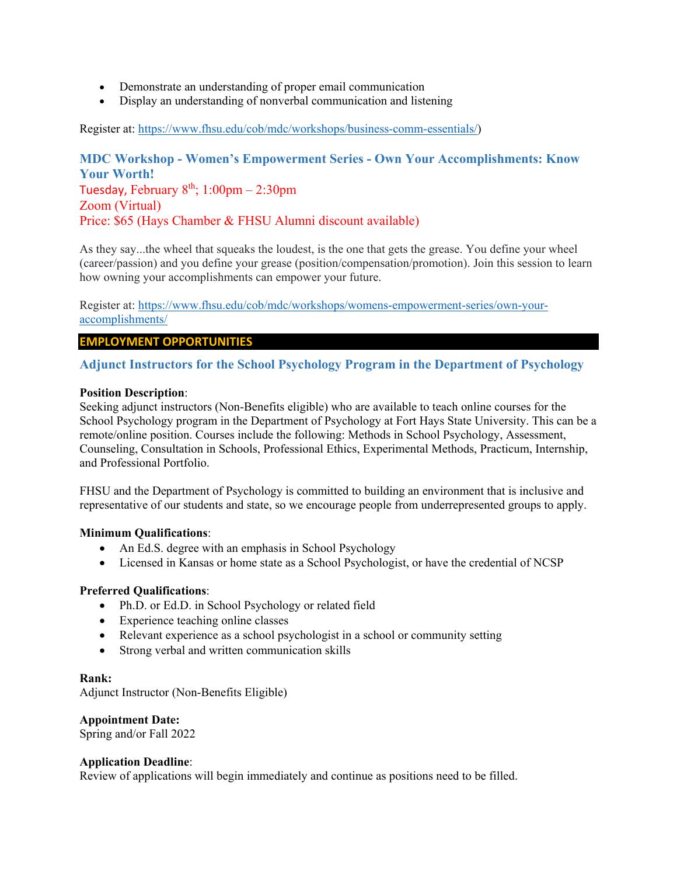- Demonstrate an understanding of proper email communication
- Display an understanding of nonverbal communication and listening

Register at: [https://www.fhsu.edu/cob/mdc/workshops/business-comm-essentials/\)](https://www.fhsu.edu/cob/mdc/workshops/business-comm-essentials/)

<span id="page-5-0"></span>**MDC Workshop - Women's Empowerment Series - Own Your Accomplishments: Know Your Worth!** Tuesday, February  $8<sup>th</sup>$ ; 1:00pm – 2:30pm Zoom (Virtual) Price: \$65 (Hays Chamber & FHSU Alumni discount available)

As they say...the wheel that squeaks the loudest, is the one that gets the grease. You define your wheel (career/passion) and you define your grease (position/compensation/promotion). Join this session to learn how owning your accomplishments can empower your future.

Register at: [https://www.fhsu.edu/cob/mdc/workshops/womens-empowerment-series/own-your](https://www.fhsu.edu/cob/mdc/workshops/womens-empowerment-series/own-your-accomplishments/)[accomplishments/](https://www.fhsu.edu/cob/mdc/workshops/womens-empowerment-series/own-your-accomplishments/)

#### **EMPLOYMENT OPPORTUNITIES**

### <span id="page-5-1"></span>**Adjunct Instructors for the School Psychology Program in the Department of Psychology**

#### **Position Description**:

Seeking adjunct instructors (Non-Benefits eligible) who are available to teach online courses for the School Psychology program in the Department of Psychology at Fort Hays State University. This can be a remote/online position. Courses include the following: Methods in School Psychology, Assessment, Counseling, Consultation in Schools, Professional Ethics, Experimental Methods, Practicum, Internship, and Professional Portfolio.

FHSU and the Department of Psychology is committed to building an environment that is inclusive and representative of our students and state, so we encourage people from underrepresented groups to apply.

#### **Minimum Qualifications**:

- An Ed.S. degree with an emphasis in School Psychology
- Licensed in Kansas or home state as a School Psychologist, or have the credential of NCSP

#### **Preferred Qualifications**:

- Ph.D. or Ed.D. in School Psychology or related field
- Experience teaching online classes
- Relevant experience as a school psychologist in a school or community setting
- Strong verbal and written communication skills

#### **Rank:**

Adjunct Instructor (Non-Benefits Eligible)

#### **Appointment Date:**

Spring and/or Fall 2022

#### **Application Deadline**:

Review of applications will begin immediately and continue as positions need to be filled.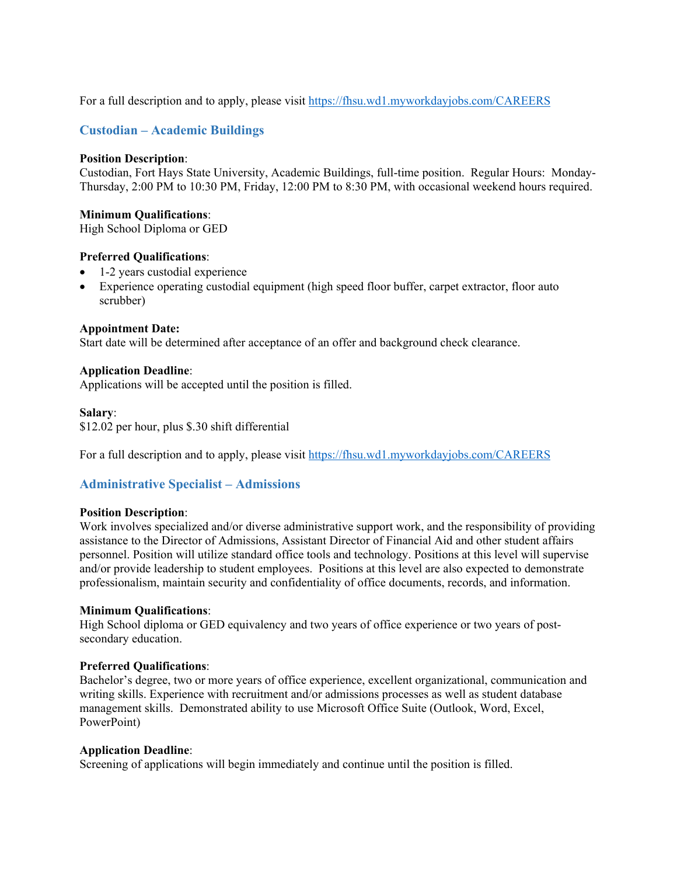For a full description and to apply, please visit<https://fhsu.wd1.myworkdayjobs.com/CAREERS>

## <span id="page-6-0"></span>**Custodian – Academic Buildings**

#### **Position Description**:

Custodian, Fort Hays State University, Academic Buildings, full-time position. Regular Hours: Monday-Thursday, 2:00 PM to 10:30 PM, Friday, 12:00 PM to 8:30 PM, with occasional weekend hours required.

#### **Minimum Qualifications**:

High School Diploma or GED

#### **Preferred Qualifications**:

- 1-2 years custodial experience
- Experience operating custodial equipment (high speed floor buffer, carpet extractor, floor auto scrubber)

#### **Appointment Date:**

Start date will be determined after acceptance of an offer and background check clearance.

#### **Application Deadline**:

Applications will be accepted until the position is filled.

#### **Salary**:

\$12.02 per hour, plus \$.30 shift differential

For a full description and to apply, please visit<https://fhsu.wd1.myworkdayjobs.com/CAREERS>

### <span id="page-6-1"></span>**Administrative Specialist – Admissions**

#### **Position Description**:

Work involves specialized and/or diverse administrative support work, and the responsibility of providing assistance to the Director of Admissions, Assistant Director of Financial Aid and other student affairs personnel. Position will utilize standard office tools and technology. Positions at this level will supervise and/or provide leadership to student employees. Positions at this level are also expected to demonstrate professionalism, maintain security and confidentiality of office documents, records, and information.

#### **Minimum Qualifications**:

High School diploma or GED equivalency and two years of office experience or two years of postsecondary education.

#### **Preferred Qualifications**:

Bachelor's degree, two or more years of office experience, excellent organizational, communication and writing skills. Experience with recruitment and/or admissions processes as well as student database management skills. Demonstrated ability to use Microsoft Office Suite (Outlook, Word, Excel, PowerPoint)

#### **Application Deadline**:

Screening of applications will begin immediately and continue until the position is filled.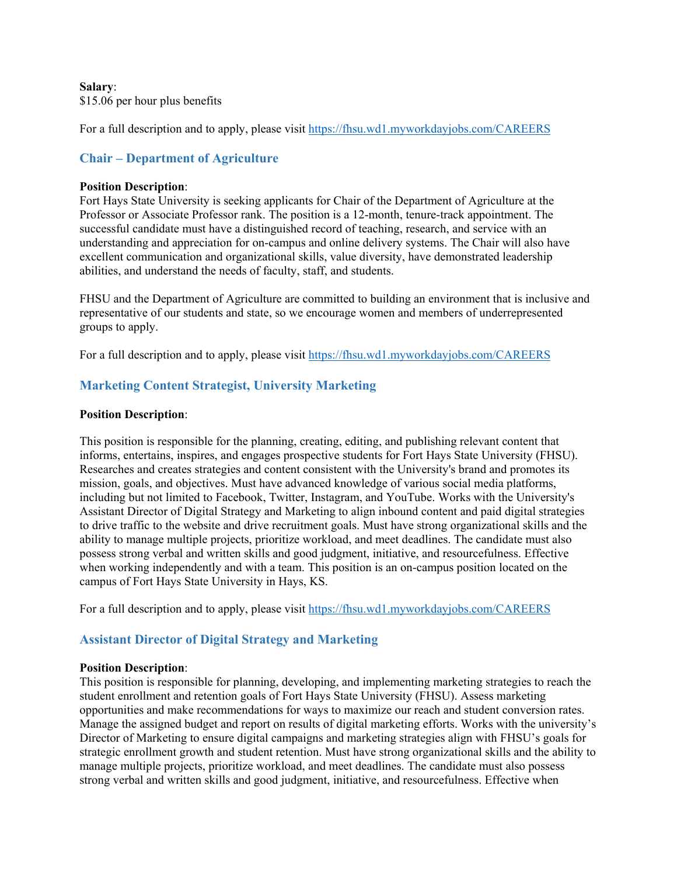#### **Salary**:

\$15.06 per hour plus benefits

For a full description and to apply, please visit<https://fhsu.wd1.myworkdayjobs.com/CAREERS>

# <span id="page-7-0"></span>**Chair – Department of Agriculture**

#### **Position Description**:

Fort Hays State University is seeking applicants for Chair of the Department of Agriculture at the Professor or Associate Professor rank. The position is a 12-month, tenure-track appointment. The successful candidate must have a distinguished record of teaching, research, and service with an understanding and appreciation for on-campus and online delivery systems. The Chair will also have excellent communication and organizational skills, value diversity, have demonstrated leadership abilities, and understand the needs of faculty, staff, and students.

FHSU and the Department of Agriculture are committed to building an environment that is inclusive and representative of our students and state, so we encourage women and members of underrepresented groups to apply.

For a full description and to apply, please visit<https://fhsu.wd1.myworkdayjobs.com/CAREERS>

# <span id="page-7-1"></span>**Marketing Content Strategist, University Marketing**

#### **Position Description**:

This position is responsible for the planning, creating, editing, and publishing relevant content that informs, entertains, inspires, and engages prospective students for Fort Hays State University (FHSU). Researches and creates strategies and content consistent with the University's brand and promotes its mission, goals, and objectives. Must have advanced knowledge of various social media platforms, including but not limited to Facebook, Twitter, Instagram, and YouTube. Works with the University's Assistant Director of Digital Strategy and Marketing to align inbound content and paid digital strategies to drive traffic to the website and drive recruitment goals. Must have strong organizational skills and the ability to manage multiple projects, prioritize workload, and meet deadlines. The candidate must also possess strong verbal and written skills and good judgment, initiative, and resourcefulness. Effective when working independently and with a team. This position is an on-campus position located on the campus of Fort Hays State University in Hays, KS.

For a full description and to apply, please visit<https://fhsu.wd1.myworkdayjobs.com/CAREERS>

### <span id="page-7-2"></span>**Assistant Director of Digital Strategy and Marketing**

#### **Position Description**:

This position is responsible for planning, developing, and implementing marketing strategies to reach the student enrollment and retention goals of Fort Hays State University (FHSU). Assess marketing opportunities and make recommendations for ways to maximize our reach and student conversion rates. Manage the assigned budget and report on results of digital marketing efforts. Works with the university's Director of Marketing to ensure digital campaigns and marketing strategies align with FHSU's goals for strategic enrollment growth and student retention. Must have strong organizational skills and the ability to manage multiple projects, prioritize workload, and meet deadlines. The candidate must also possess strong verbal and written skills and good judgment, initiative, and resourcefulness. Effective when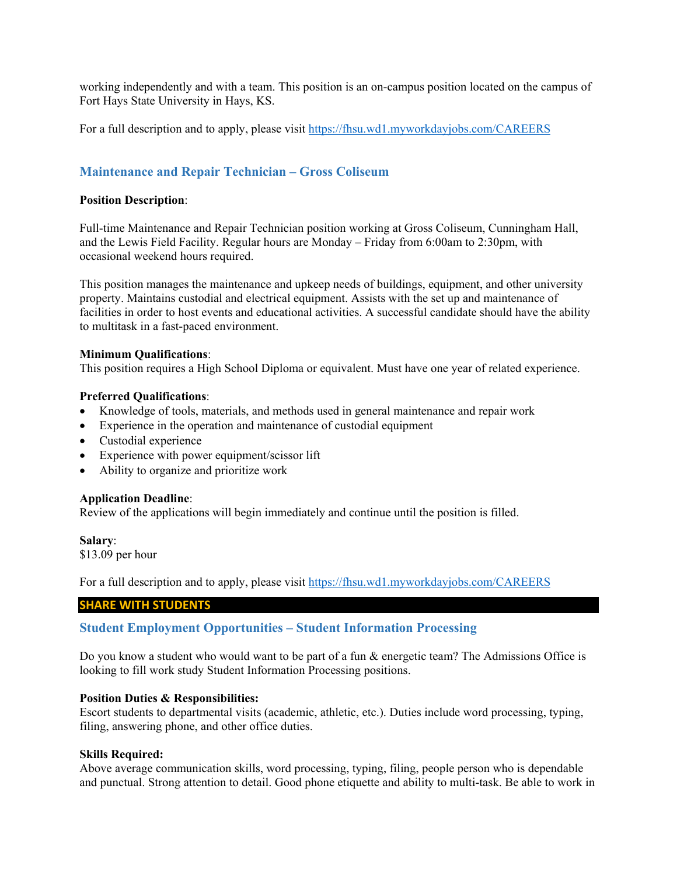working independently and with a team. This position is an on-campus position located on the campus of Fort Hays State University in Hays, KS.

For a full description and to apply, please visit<https://fhsu.wd1.myworkdayjobs.com/CAREERS>

### <span id="page-8-0"></span>**Maintenance and Repair Technician – Gross Coliseum**

#### **Position Description**:

Full-time Maintenance and Repair Technician position working at Gross Coliseum, Cunningham Hall, and the Lewis Field Facility. Regular hours are Monday – Friday from 6:00am to 2:30pm, with occasional weekend hours required.

This position manages the maintenance and upkeep needs of buildings, equipment, and other university property. Maintains custodial and electrical equipment. Assists with the set up and maintenance of facilities in order to host events and educational activities. A successful candidate should have the ability to multitask in a fast-paced environment.

#### **Minimum Qualifications**:

This position requires a High School Diploma or equivalent. Must have one year of related experience.

#### **Preferred Qualifications**:

- Knowledge of tools, materials, and methods used in general maintenance and repair work
- Experience in the operation and maintenance of custodial equipment
- Custodial experience
- Experience with power equipment/scissor lift
- Ability to organize and prioritize work

#### **Application Deadline**:

Review of the applications will begin immediately and continue until the position is filled.

**Salary**:

\$13.09 per hour

For a full description and to apply, please visit<https://fhsu.wd1.myworkdayjobs.com/CAREERS>

#### **SHARE WITH STUDENTS**

#### <span id="page-8-1"></span>**Student Employment Opportunities – Student Information Processing**

Do you know a student who would want to be part of a fun & energetic team? The Admissions Office is looking to fill work study Student Information Processing positions.

#### **Position Duties & Responsibilities:**

Escort students to departmental visits (academic, athletic, etc.). Duties include word processing, typing, filing, answering phone, and other office duties.

#### **Skills Required:**

Above average communication skills, word processing, typing, filing, people person who is dependable and punctual. Strong attention to detail. Good phone etiquette and ability to multi-task. Be able to work in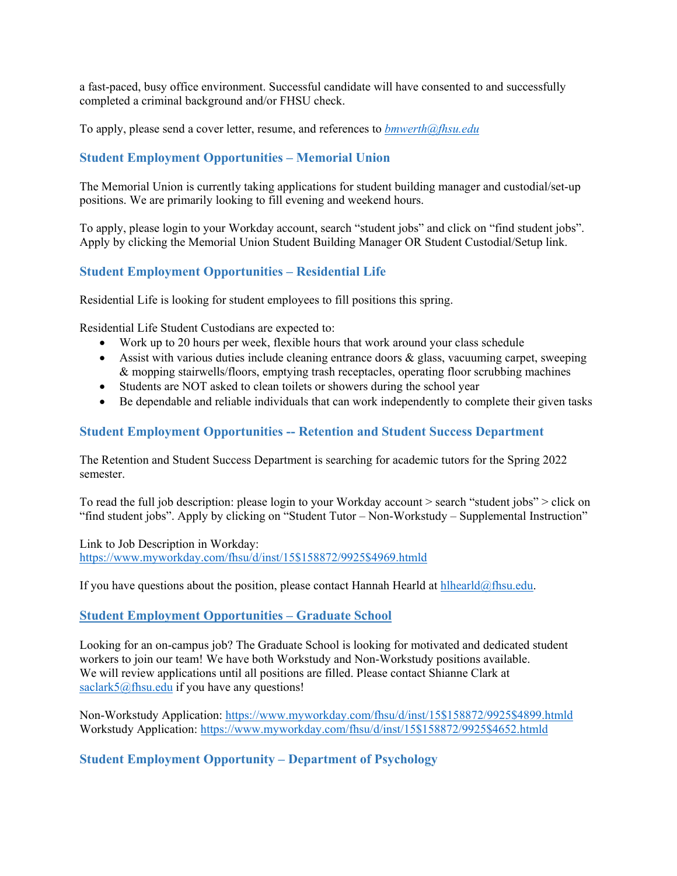a fast-paced, busy office environment. Successful candidate will have consented to and successfully completed a criminal background and/or FHSU check.

To apply, please send a cover letter, resume, and references to *[bmwerth@fhsu.edu](mailto:bmwerth@fhsu.edu)*

# <span id="page-9-0"></span>**Student Employment Opportunities – Memorial Union**

The Memorial Union is currently taking applications for student building manager and custodial/set-up positions. We are primarily looking to fill evening and weekend hours.

To apply, please login to your Workday account, search "student jobs" and click on "find student jobs". Apply by clicking the Memorial Union Student Building Manager OR Student Custodial/Setup link.

# <span id="page-9-1"></span>**Student Employment Opportunities – Residential Life**

Residential Life is looking for student employees to fill positions this spring.

Residential Life Student Custodians are expected to:

- Work up to 20 hours per week, flexible hours that work around your class schedule
- Assist with various duties include cleaning entrance doors  $\&$  glass, vacuuming carpet, sweeping & mopping stairwells/floors, emptying trash receptacles, operating floor scrubbing machines
- Students are NOT asked to clean toilets or showers during the school year
- Be dependable and reliable individuals that can work independently to complete their given tasks

### <span id="page-9-2"></span>**Student Employment Opportunities -- Retention and Student Success Department**

The Retention and Student Success Department is searching for academic tutors for the Spring 2022 semester.

To read the full job description: please login to your Workday account > search "student jobs" > click on "find student jobs". Apply by clicking on "Student Tutor – Non-Workstudy – Supplemental Instruction"

Link to Job Description in Workday: [https://www.myworkday.com/fhsu/d/inst/15\\$158872/9925\\$4969.htmld](https://www.myworkday.com/fhsu/d/inst/15$158872/9925$4969.htmld)

If you have questions about the position, please contact Hannah Hearld at [hlhearld@fhsu.edu.](mailto:hlhearld@fhsu.edu)

#### <span id="page-9-3"></span>**Student Employment Opportunities – Graduate School**

Looking for an on-campus job? The Graduate School is looking for motivated and dedicated student workers to join our team! We have both Workstudy and Non-Workstudy positions available. We will review applications until all positions are filled. Please contact Shianne Clark at [saclark5@fhsu.edu](mailto:saclark5@fhsu.edu) if you have any questions!

Non-Workstudy Application: [https://www.myworkday.com/fhsu/d/inst/15\\$158872/9925\\$4899.htmld](https://www.myworkday.com/fhsu/d/inst/15$158872/9925$4899.htmld) Workstudy Application: [https://www.myworkday.com/fhsu/d/inst/15\\$158872/9925\\$4652.htmld](https://www.myworkday.com/fhsu/d/inst/15$158872/9925$4652.htmld)

### <span id="page-9-4"></span>**Student Employment Opportunity – Department of Psychology**